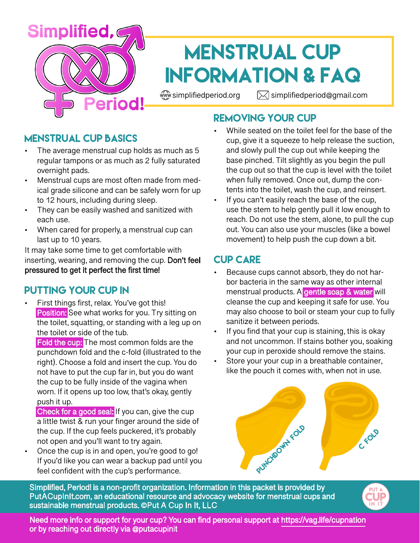

# Menstrual Cup Information & FAQ

 $\mathbb{W}$  simplifiedperiod.org  $\mathbb{Z}$  simplifiedperiod@gmail.com

# Removing Your Cup

## Menstrual Cup Basics

- The average menstrual cup holds as much as 5 regular tampons or as much as 2 fully saturated overnight pads.
- Menstrual cups are most often made from medical grade silicone and can be safely worn for up to 12 hours, including during sleep.
- They can be easily washed and sanitized with each use.
- When cared for properly, a menstrual cup can last up to 10 years.

It may take some time to get comfortable with inserting, wearing, and removing the cup. Don't feel pressured to get it perfect the first time!

## Putting Your Cup In

First things first, relax. You've got this! Position: See what works for you. Try sitting on the toilet, squatting, or standing with a leg up on the toilet or side of the tub.

Fold the cup: The most common folds are the punchdown fold and the c-fold (illustrated to the right). Choose a fold and insert the cup. You do not have to put the cup far in, but you do want the cup to be fully inside of the vagina when worn. If it opens up too low, that's okay, gently push it up.

- Check for a good seal: If you can, give the cup a little twist & run your finger around the side of the cup. If the cup feels puckered, it's probably not open and you'll want to try again.
- Once the cup is in and open, you're good to go! If you'd like you can wear a backup pad until you feel confident with the cup's performance.

While seated on the toilet feel for the base of the cup, give it a squeeze to help release the suction, and slowly pull the cup out while keeping the base pinched. Tilt slightly as you begin the pull the cup out so that the cup is level with the toilet when fully removed. Once out, dump the contents into the toilet, wash the cup, and reinsert.

If you can't easily reach the base of the cup, use the stem to help gently pull it low enough to reach. Do not use the stem, alone, to pull the cup out. You can also use your muscles (like a bowel movement) to help push the cup down a bit.

## Cup Care

- Because cups cannot absorb, they do not harbor bacteria in the same way as other internal menstrual products. A gentle soap & water will cleanse the cup and keeping it safe for use. You may also choose to boil or steam your cup to fully sanitize it between periods.
- If you find that your cup is staining, this is okay and not uncommon. If stains bother you, soaking your cup in peroxide should remove the stains.
- Store your your cup in a breathable container, like the pouch it comes with, when not in use.



Simplified, Period! is a non-profit organization. Information in this packet is provided by PutACupInIt.com, an educational resource and advocacy website for menstrual cups and sustainable menstrual products. ©Put A Cup In It, LLC



Need more info or support for your cup? You can find personal support at https://vag.life/cupnation or by reaching out directly via @putacupinit